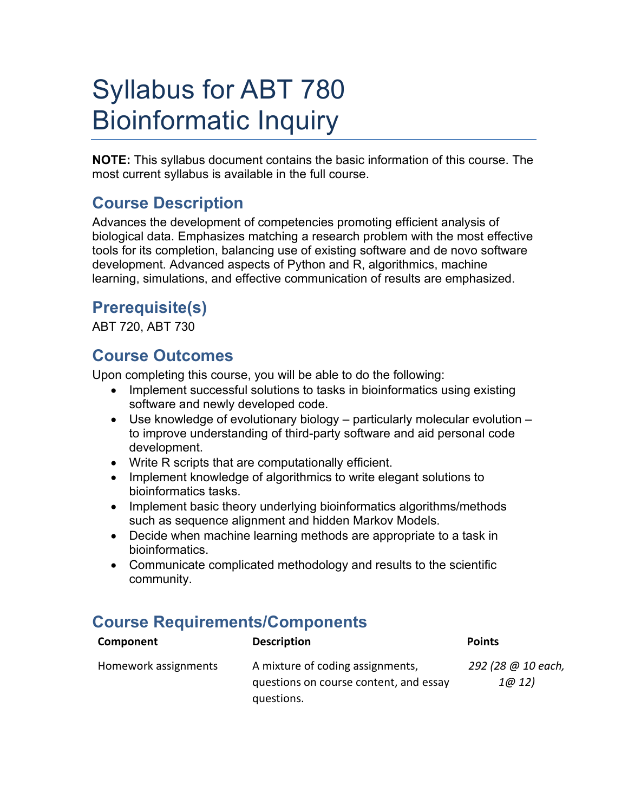# Syllabus for ABT 780 Bioinformatic Inquiry

**NOTE:** This syllabus document contains the basic information of this course. The most current syllabus is available in the full course.

## **Course Description**

Advances the development of competencies promoting efficient analysis of biological data. Emphasizes matching a research problem with the most effective tools for its completion, balancing use of existing software and de novo software development. Advanced aspects of Python and R, algorithmics, machine learning, simulations, and effective communication of results are emphasized.

## **Prerequisite(s)**

ABT 720, ABT 730

#### **Course Outcomes**

Upon completing this course, you will be able to do the following:

- Implement successful solutions to tasks in bioinformatics using existing software and newly developed code.
- Use knowledge of evolutionary biology particularly molecular evolution to improve understanding of third-party software and aid personal code development.
- Write R scripts that are computationally efficient.
- Implement knowledge of algorithmics to write elegant solutions to bioinformatics tasks.
- Implement basic theory underlying bioinformatics algorithms/methods such as sequence alignment and hidden Markov Models.
- Decide when machine learning methods are appropriate to a task in bioinformatics.
- Communicate complicated methodology and results to the scientific community.

## **Course Requirements/Components**

| Component            | <b>Description</b>                                                         | <b>Points</b>              |
|----------------------|----------------------------------------------------------------------------|----------------------------|
| Homework assignments | A mixture of coding assignments,<br>questions on course content, and essay | 292 (28 @ 10 each,<br>1@12 |
|                      | questions.                                                                 |                            |